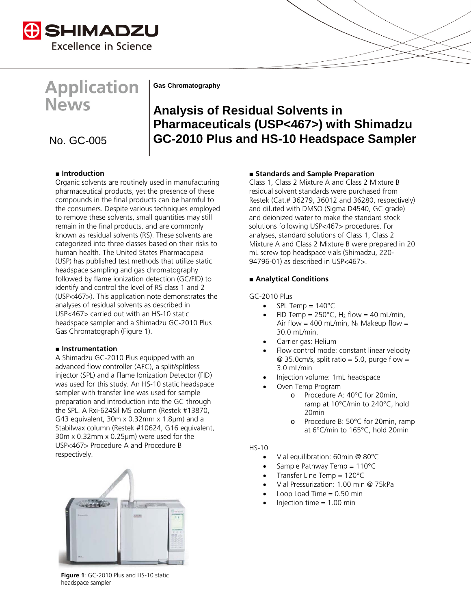

# **Application News**

**Gas Chromatography**

## **Analysis of Residual Solvents in Pharmaceuticals (USP<467>) with Shimadzu**  No. GC-005 **GC-2010 Plus and HS-10 Headspace Sampler**

### **■ Introduction**

Organic solvents are routinely used in manufacturing pharmaceutical products, yet the presence of these compounds in the final products can be harmful to the consumers. Despite various techniques employed to remove these solvents, small quantities may still remain in the final products, and are commonly known as residual solvents (RS). These solvents are categorized into three classes based on their risks to human health. The United States Pharmacopeia (USP) has published test methods that utilize static headspace sampling and gas chromatography followed by flame ionization detection (GC/FID) to identify and control the level of RS class 1 and 2 (USP<467>). This application note demonstrates the analyses of residual solvents as described in USP<467> carried out with an HS-10 static headspace sampler and a Shimadzu GC-2010 Plus Gas Chromatograph (Figure 1).

#### **■ Instrumentation**

A Shimadzu GC-2010 Plus equipped with an advanced flow controller (AFC), a split/splitless injector (SPL) and a Flame Ionization Detector (FID) was used for this study. An HS-10 static headspace sampler with transfer line was used for sample preparation and introduction into the GC through the SPL. A Rxi-624Sil MS column (Restek #13870, G43 equivalent, 30m x 0.32mm x 1.8µm) and a Stabilwax column (Restek #10624, G16 equivalent, 30m x 0.32mm x 0.25µm) were used for the USP<467> Procedure A and Procedure B respectively.



**Figure 1**: GC-2010 Plus and HS-10 static headspace sampler

#### **■ Standards and Sample Preparation**

Class 1, Class 2 Mixture A and Class 2 Mixture B residual solvent standards were purchased from Restek (Cat.# 36279, 36012 and 36280, respectively) and diluted with DMSO (Sigma D4540, GC grade) and deionized water to make the standard stock solutions following USP<467> procedures. For analyses, standard solutions of Class 1, Class 2 Mixture A and Class 2 Mixture B were prepared in 20 mL screw top headspace vials (Shimadzu, 220- 94796-01) as described in USP<467>.

#### **■ Analytical Conditions**

GC-2010 Plus

- $SPL$  Temp =  $140^{\circ}C$
- FID Temp =  $250^{\circ}$ C, H<sub>2</sub> flow = 40 mL/min, Air flow = 400 mL/min,  $N_2$  Makeup flow = 30.0 mL/min.
- Carrier gas: Helium
- Flow control mode: constant linear velocity  $@ 35.0cm/s$ , split ratio = 5.0, purge flow = 3.0 mL/min
- Injection volume: 1mL headspace
- Oven Temp Program
	- o Procedure A: 40°C for 20min, ramp at 10°C/min to 240°C, hold 20min
	- o Procedure B: 50°C for 20min, ramp at 6°C/min to 165°C, hold 20min

#### HS-10

- Vial equilibration: 60min @ 80°C
- Sample Pathway Temp  $= 110^{\circ}C$
- Transfer Line Temp =  $120^{\circ}$ C
- Vial Pressurization: 1.00 min @ 75kPa
- Loop Load Time  $= 0.50$  min
- Injection time  $= 1.00$  min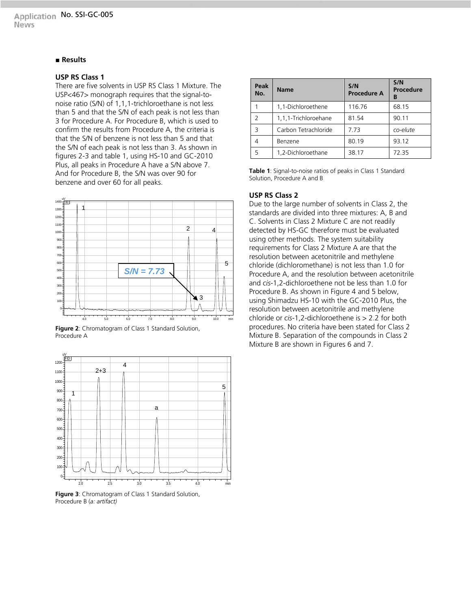#### **■ Results**

#### **USP RS Class 1**

There are five solvents in USP RS Class 1 Mixture. The USP<467> monograph requires that the signal-tonoise ratio (S/N) of 1,1,1-trichloroethane is not less than 5 and that the S/N of each peak is not less than 3 for Procedure A. For Procedure B, which is used to confirm the results from Procedure A, the criteria is that the S/N of benzene is not less than 5 and that the S/N of each peak is not less than 3. As shown in figures 2-3 and table 1, using HS-10 and GC-2010 Plus, all peaks in Procedure A have a S/N above 7. And for Procedure B, the S/N was over 90 for benzene and over 60 for all peaks.







**Figure 3**: Chromatogram of Class 1 Standard Solution, Procedure B (*a: artifact)*

| Peak<br>No.   | <b>Name</b>          | S/N<br><b>Procedure A</b> | S/N<br>Procedure<br>в |
|---------------|----------------------|---------------------------|-----------------------|
|               | 1.1-Dichloroethene   | 116.76                    | 68.15                 |
| $\mathcal{P}$ | 1,1,1-Trichloroehane | 81.54                     | 90.11                 |
| ς             | Carbon Tetrachloride | 7.73                      | co-elute              |
|               | Benzene              | 80.19                     | 93.12                 |
| 5             | 1,2-Dichloroethane   | 38.17                     | 72.35                 |

**Table 1**: Signal-to-noise ratios of peaks in Class 1 Standard Solution, Procedure A and B

#### **USP RS Class 2**

Due to the large number of solvents in Class 2, the standards are divided into three mixtures: A, B and C. Solvents in Class 2 Mixture C are not readily detected by HS-GC therefore must be evaluated using other methods. The system suitability requirements for Class 2 Mixture A are that the resolution between acetonitrile and methylene chloride (dichloromethane) is not less than 1.0 for Procedure A, and the resolution between acetonitrile and *cis*-1,2-dichloroethene not be less than 1.0 for Procedure B. As shown in Figure 4 and 5 below, using Shimadzu HS-10 with the GC-2010 Plus, the resolution between acetonitrile and methylene chloride or *cis*-1,2-dichloroethene is > 2.2 for both procedures. No criteria have been stated for Class 2 Mixture B. Separation of the compounds in Class 2 Mixture B are shown in Figures 6 and 7.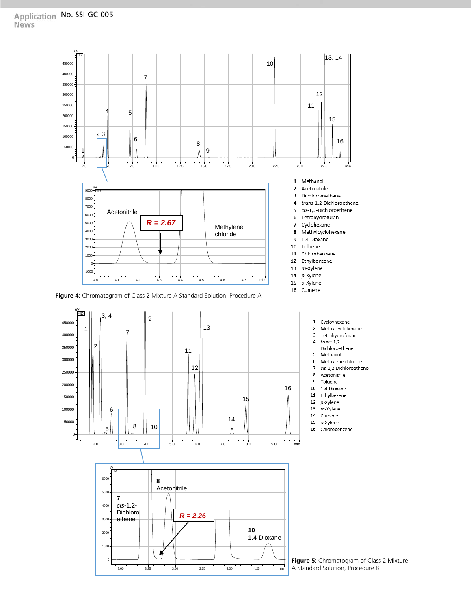

**Figure 4**: Chromatogram of Class 2 Mixture A Standard Solution, Procedure A



**Figure 5**: Chromatogram of Class 2 Mixture A Standard Solution, Procedure B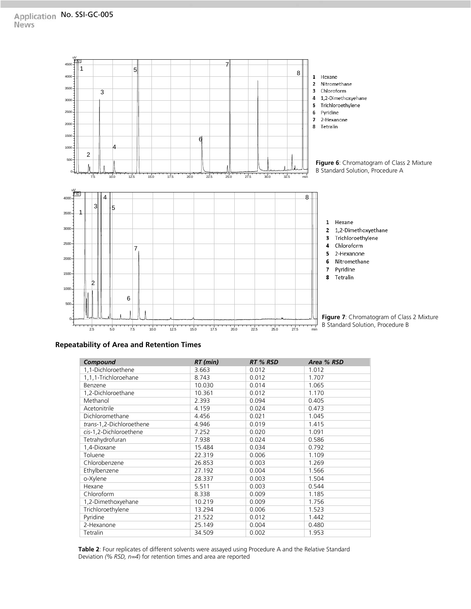

#### **Repeatability of Area and Retention Times**

| Compound                 | RT (min) | RT % RSD | Area % RSD |
|--------------------------|----------|----------|------------|
| 1,1-Dichloroethene       | 3.663    | 0.012    | 1.012      |
| 1,1,1-Trichloroehane     | 8.743    | 0.012    | 1.707      |
| Benzene                  | 10.030   | 0.014    | 1.065      |
| 1,2-Dichloroethane       | 10.361   | 0.012    | 1.170      |
| Methanol                 | 2.393    | 0.094    | 0.405      |
| Acetonitrile             | 4.159    | 0.024    | 0.473      |
| Dichloromethane          | 4.456    | 0.021    | 1.045      |
| trans-1,2-Dichloroethene | 4.946    | 0.019    | 1.415      |
| cis-1,2-Dichloroethene   | 7.252    | 0.020    | 1.091      |
| Tetrahydrofuran          | 7.938    | 0.024    | 0.586      |
| 1,4-Dioxane              | 15.484   | 0.034    | 0.792      |
| Toluene                  | 22.319   | 0.006    | 1.109      |
| Chlorobenzene            | 26.853   | 0.003    | 1.269      |
| Ethylbenzene             | 27.192   | 0.004    | 1.566      |
| o-Xylene                 | 28.337   | 0.003    | 1.504      |
| Hexane                   | 5.511    | 0.003    | 0.544      |
| Chloroform               | 8.338    | 0.009    | 1.185      |
| 1,2-Dimethoxyehane       | 10.219   | 0.009    | 1.756      |
| Trichloroethylene        | 13.294   | 0.006    | 1.523      |
| Pyridine                 | 21.522   | 0.012    | 1.442      |
| 2-Hexanone               | 25.149   | 0.004    | 0.480      |
| Tetralin                 | 34.509   | 0.002    | 1.953      |

**Table 2**: Four replicates of different solvents were assayed using Procedure A and the Relative Standard Deviation *(% RSD, n=4*) for retention times and area are reported